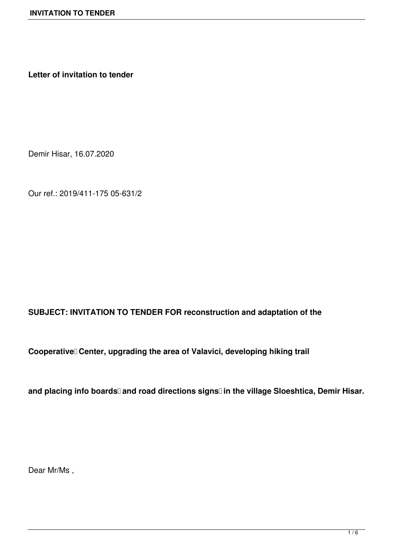**Letter of invitation to tender**

Demir Hisar, 16.07.2020

Our ref.: 2019/411-175 05-631/2

## **SUBJECT: INVITATION TO TENDER FOR reconstruction and adaptation of the**

Cooperative Center, upgrading the area of Valavici, developing hiking trail

and placing info boards<sup>[]</sup> and road directions signs<sup>[]</sup> in the village Sloeshtica, Demir Hisar.

Dear Mr/Ms ,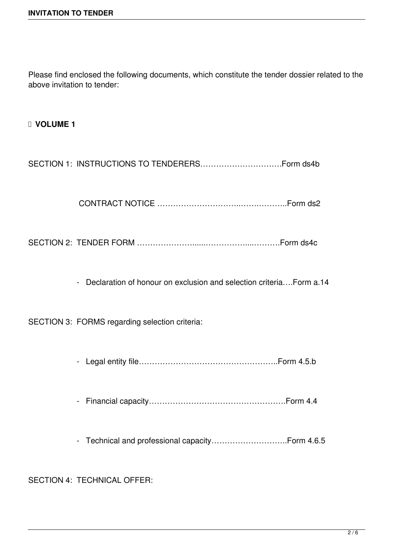Please find enclosed the following documents, which constitute the tender dossier related to the above invitation to tender:

 **VOLUME 1**

SECTION 1: INSTRUCTIONS TO TENDERERS………………………….Form ds4b

CONTRACT NOTICE …………………………..…….………..Form ds2

SECTION 2: TENDER FORM …………………......……………....……….Form ds4c

- Declaration of honour on exclusion and selection criteria….Form a.14

SECTION 3: FORMS regarding selection criteria:

- Legal entity file……………………………………………..Form 4.5.b

- Financial capacity…………………………………………….Form 4.4

- Technical and professional capacity………………………..Form 4.6.5

SECTION 4: TECHNICAL OFFER: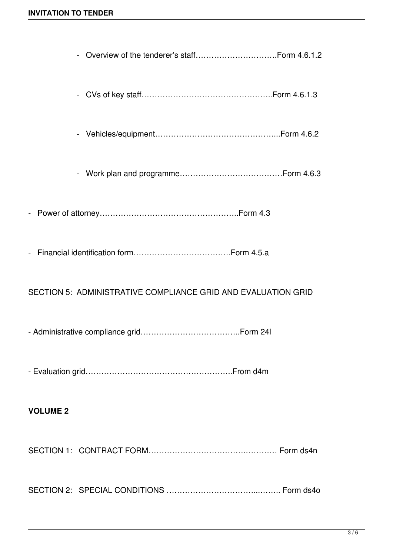| $\sim$          |                                                               |  |
|-----------------|---------------------------------------------------------------|--|
|                 |                                                               |  |
|                 |                                                               |  |
|                 |                                                               |  |
|                 |                                                               |  |
|                 | SECTION 5: ADMINISTRATIVE COMPLIANCE GRID AND EVALUATION GRID |  |
|                 |                                                               |  |
|                 |                                                               |  |
| <b>VOLUME 2</b> |                                                               |  |
|                 |                                                               |  |
|                 |                                                               |  |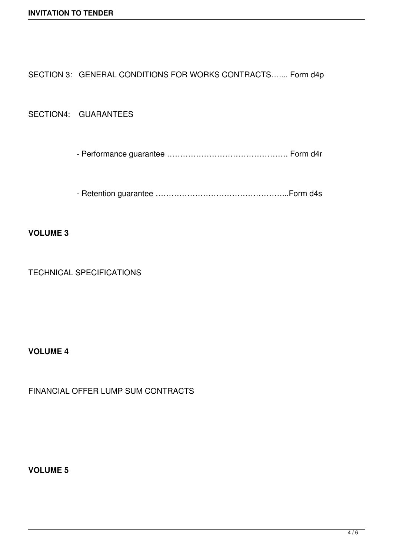SECTION 3: GENERAL CONDITIONS FOR WORKS CONTRACTS....... Form d4p

SECTION4: GUARANTEES

- Performance guarantee ………………………………………. Form d4r

- Retention guarantee …………………………………………...Form d4s

**VOLUME 3**

TECHNICAL SPECIFICATIONS

**VOLUME 4**

FINANCIAL OFFER LUMP SUM CONTRACTS

**VOLUME 5**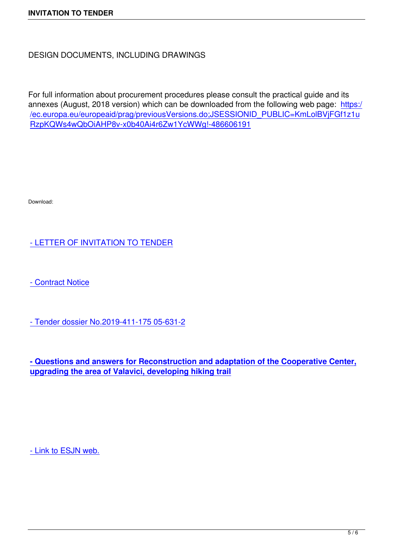For full information about procurement procedures please consult the practical guide and its annexes (August, 2018 version) which can be downloaded from the following web page: https:/ /ec.europa.eu/europeaid/prag/previousVersions.do;JSESSIONID\_PUBLIC=KmLolBVjFGf1z1u RzpKQWs4wQbOiAHP8v-x0b40Ai4r6Zw1YcWWg!-486606191

Download:

## - LETTER OF INVITATION TO TENDER

[- Contract Notice](https://drive.google.com/file/d/1pdgRco_2oQfwIKFi0ev6iFvxCSMGU7sZ/view?usp=sharing)

[- Tender dossier](https://drive.google.com/file/d/149Tw7EAFrhD-kI5ugw3vJAqFZm0T-ODT/view?usp=sharing) No.2019-411-175 05-631-2

**[- Questions and answers for Reconstructi](https://drive.google.com/file/d/1STgvKTfCThZKfvDHtatN-CsuERXf5Bve/view?usp=sharing)on and adaptation of the Cooperative Center, upgrading the area of Valavici, developing hiking trail**

- Link to ESJN web.